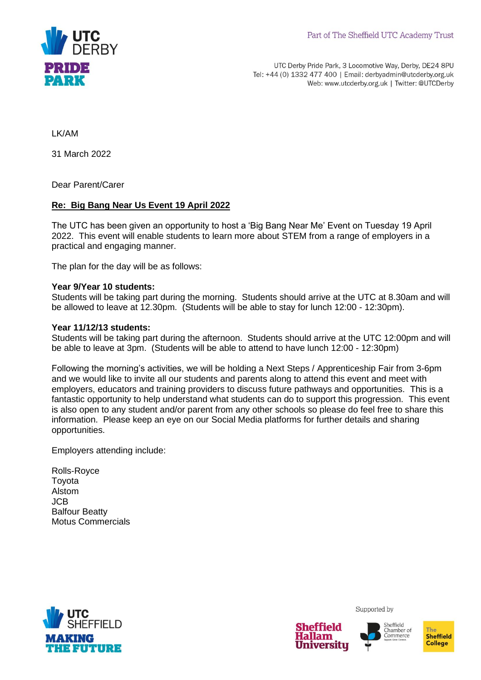

UTC Derby Pride Park, 3 Locomotive Way, Derby, DE24 8PU Tel: +44 (0) 1332 477 400 | Email: derbyadmin@utcderby.org.uk Web: www.utcderby.org.uk | Twitter: @UTCDerby

LK/AM

31 March 2022

Dear Parent/Carer

## **Re: Big Bang Near Us Event 19 April 2022**

The UTC has been given an opportunity to host a 'Big Bang Near Me' Event on Tuesday 19 April 2022. This event will enable students to learn more about STEM from a range of employers in a practical and engaging manner.

The plan for the day will be as follows:

## **Year 9/Year 10 students:**

Students will be taking part during the morning. Students should arrive at the UTC at 8.30am and will be allowed to leave at 12.30pm. (Students will be able to stay for lunch 12:00 - 12:30pm).

## **Year 11/12/13 students:**

Students will be taking part during the afternoon. Students should arrive at the UTC 12:00pm and will be able to leave at 3pm. (Students will be able to attend to have lunch 12:00 - 12:30pm)

Following the morning's activities, we will be holding a Next Steps / Apprenticeship Fair from 3-6pm and we would like to invite all our students and parents along to attend this event and meet with employers, educators and training providers to discuss future pathways and opportunities. This is a fantastic opportunity to help understand what students can do to support this progression. This event is also open to any student and/or parent from any other schools so please do feel free to share this information. Please keep an eye on our Social Media platforms for further details and sharing opportunities.

Employers attending include:

Rolls-Royce Toyota Alstom JCB Balfour Beatty Motus Commercials



Supported by